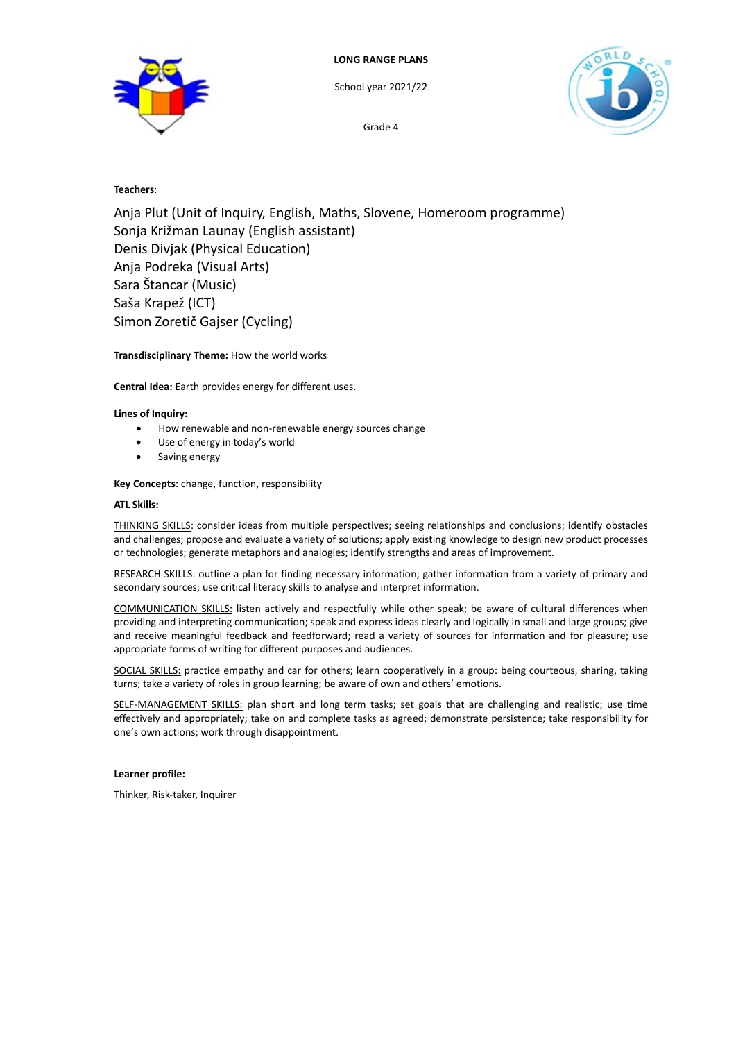

School year 2021/22

Grade 4



# **Teachers**:

Anja Plut (Unit of Inquiry, English, Maths, Slovene, Homeroom programme) Sonja Križman Launay (English assistant) Denis Divjak (Physical Education) Anja Podreka (Visual Arts) Sara Štancar (Music) Saša Krapež (ICT) Simon Zoretič Gajser (Cycling)

# **Transdisciplinary Theme:** How the world works

**Central Idea:** Earth provides energy for different uses.

# **Lines of Inquiry:**

- How renewable and non-renewable energy sources change
- Use of energy in today's world
- Saving energy

# **Key Concepts**: change, function, responsibility

## **ATL Skills:**

THINKING SKILLS: consider ideas from multiple perspectives; seeing relationships and conclusions; identify obstacles and challenges; propose and evaluate a variety of solutions; apply existing knowledge to design new product processes or technologies; generate metaphors and analogies; identify strengths and areas of improvement.

RESEARCH SKILLS: outline a plan for finding necessary information; gather information from a variety of primary and secondary sources; use critical literacy skills to analyse and interpret information.

COMMUNICATION SKILLS: listen actively and respectfully while other speak; be aware of cultural differences when providing and interpreting communication; speak and express ideas clearly and logically in small and large groups; give and receive meaningful feedback and feedforward; read a variety of sources for information and for pleasure; use appropriate forms of writing for different purposes and audiences.

SOCIAL SKILLS: practice empathy and car for others; learn cooperatively in a group: being courteous, sharing, taking turns; take a variety of roles in group learning; be aware of own and others' emotions.

SELF-MANAGEMENT SKILLS: plan short and long term tasks; set goals that are challenging and realistic; use time effectively and appropriately; take on and complete tasks as agreed; demonstrate persistence; take responsibility for one's own actions; work through disappointment.

## **Learner profile:**

Thinker, Risk-taker, Inquirer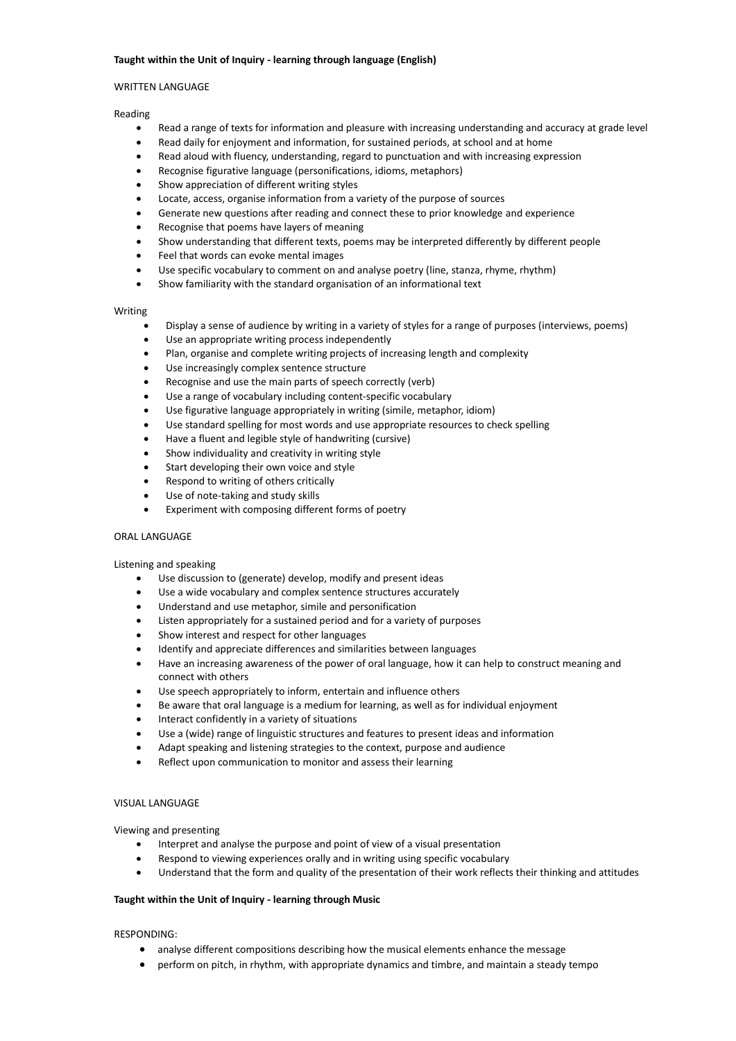## **Taught within the Unit of Inquiry - learning through language (English)**

### WRITTEN LANGUAGE

#### Reading

- Read a range of texts for information and pleasure with increasing understanding and accuracy at grade level
- Read daily for enjoyment and information, for sustained periods, at school and at home
- Read aloud with fluency, understanding, regard to punctuation and with increasing expression
- Recognise figurative language (personifications, idioms, metaphors)
- Show appreciation of different writing styles
- Locate, access, organise information from a variety of the purpose of sources
- Generate new questions after reading and connect these to prior knowledge and experience
- Recognise that poems have layers of meaning
- Show understanding that different texts, poems may be interpreted differently by different people
- Feel that words can evoke mental images
- Use specific vocabulary to comment on and analyse poetry (line, stanza, rhyme, rhythm)
- Show familiarity with the standard organisation of an informational text

#### Writing

- Display a sense of audience by writing in a variety of styles for a range of purposes (interviews, poems)
- Use an appropriate writing process independently
- Plan, organise and complete writing projects of increasing length and complexity
- Use increasingly complex sentence structure
- Recognise and use the main parts of speech correctly (verb)
- Use a range of vocabulary including content-specific vocabulary
- Use figurative language appropriately in writing (simile, metaphor, idiom)
- Use standard spelling for most words and use appropriate resources to check spelling
- Have a fluent and legible style of handwriting (cursive)
- Show individuality and creativity in writing style
- Start developing their own voice and style
- Respond to writing of others critically
- Use of note-taking and study skills
- Experiment with composing different forms of poetry

## ORAL LANGUAGE

### Listening and speaking

- Use discussion to (generate) develop, modify and present ideas
- Use a wide vocabulary and complex sentence structures accurately
- Understand and use metaphor, simile and personification
- Listen appropriately for a sustained period and for a variety of purposes
- Show interest and respect for other languages
- Identify and appreciate differences and similarities between languages
- Have an increasing awareness of the power of oral language, how it can help to construct meaning and connect with others
- Use speech appropriately to inform, entertain and influence others
- Be aware that oral language is a medium for learning, as well as for individual enjoyment
- Interact confidently in a variety of situations
- Use a (wide) range of linguistic structures and features to present ideas and information
- Adapt speaking and listening strategies to the context, purpose and audience
- Reflect upon communication to monitor and assess their learning

#### VISUAL LANGUAGE

Viewing and presenting

- Interpret and analyse the purpose and point of view of a visual presentation
- Respond to viewing experiences orally and in writing using specific vocabulary
- Understand that the form and quality of the presentation of their work reflects their thinking and attitudes

### **Taught within the Unit of Inquiry - learning through Music**

RESPONDING:

- analyse different compositions describing how the musical elements enhance the message
- perform on pitch, in rhythm, with appropriate dynamics and timbre, and maintain a steady tempo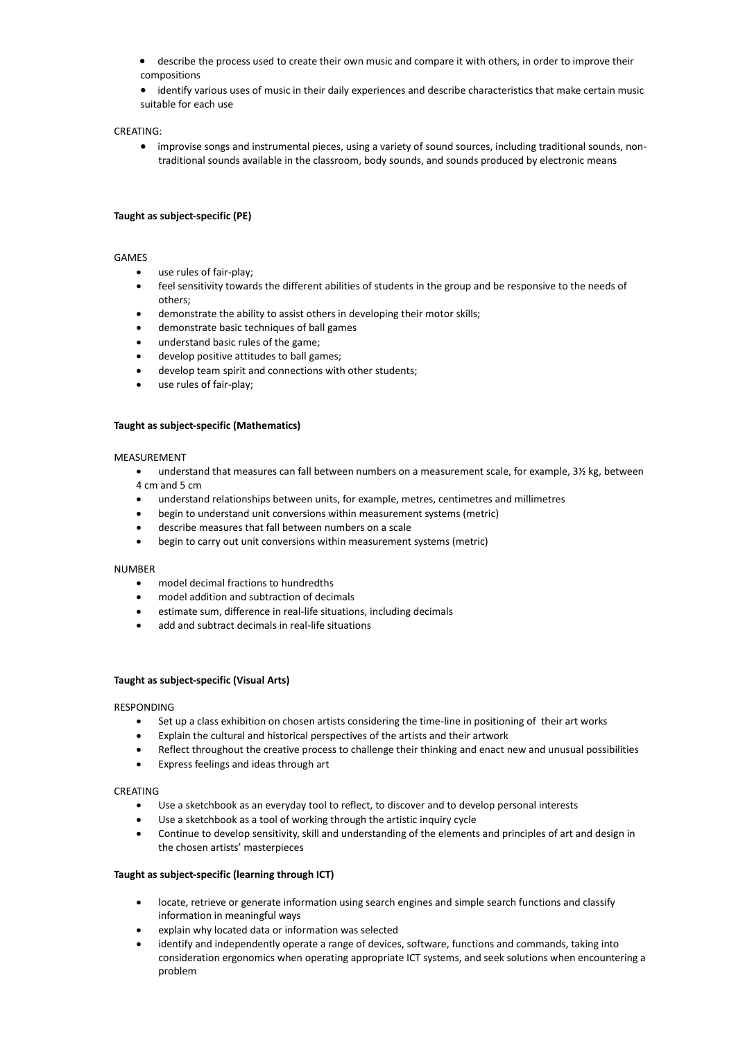- describe the process used to create their own music and compare it with others, in order to improve their compositions
- identify various uses of music in their daily experiences and describe characteristics that make certain music suitable for each use

### CREATING:

• improvise songs and instrumental pieces, using a variety of sound sources, including traditional sounds, nontraditional sounds available in the classroom, body sounds, and sounds produced by electronic means

## **Taught as subject-specific (PE)**

### GAMES

- use rules of fair-play;
- feel sensitivity towards the different abilities of students in the group and be responsive to the needs of others;
- demonstrate the ability to assist others in developing their motor skills;
- demonstrate basic techniques of ball games
- understand basic rules of the game;
- develop positive attitudes to ball games;
- develop team spirit and connections with other students;
- use rules of fair-play;

## **Taught as subject-specific (Mathematics)**

#### MEASUREMENT

- understand that measures can fall between numbers on a measurement scale, for example, 3½ kg, between 4 cm and 5 cm
- understand relationships between units, for example, metres, centimetres and millimetres
- begin to understand unit conversions within measurement systems (metric)
- describe measures that fall between numbers on a scale
- begin to carry out unit conversions within measurement systems (metric)

#### NUMBER

- model decimal fractions to hundredths
- model addition and subtraction of decimals
- estimate sum, difference in real-life situations, including decimals
- add and subtract decimals in real-life situations

#### **Taught as subject-specific (Visual Arts)**

#### RESPONDING

- Set up a class exhibition on chosen artists considering the time-line in positioning of their art works
- Explain the cultural and historical perspectives of the artists and their artwork
- Reflect throughout the creative process to challenge their thinking and enact new and unusual possibilities
- Express feelings and ideas through art

#### CREATING

- Use a sketchbook as an everyday tool to reflect, to discover and to develop personal interests
- Use a sketchbook as a tool of working through the artistic inquiry cycle
- Continue to develop sensitivity, skill and understanding of the elements and principles of art and design in the chosen artists' masterpieces

### **Taught as subject-specific (learning through ICT)**

- locate, retrieve or generate information using search engines and simple search functions and classify information in meaningful ways
- explain why located data or information was selected
- identify and independently operate a range of devices, software, functions and commands, taking into consideration ergonomics when operating appropriate ICT systems, and seek solutions when encountering a problem